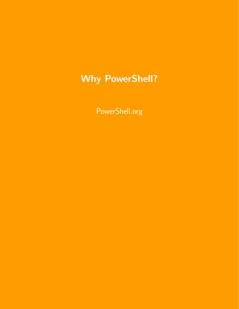PowerShell.org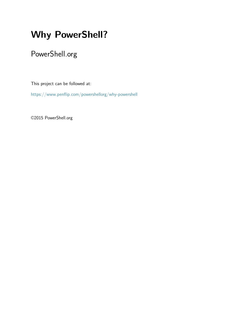### PowerShell.org

This project can be followed at:

<https://www.penflip.com/powershellorg/why-powershell>

©2015 PowerShell.org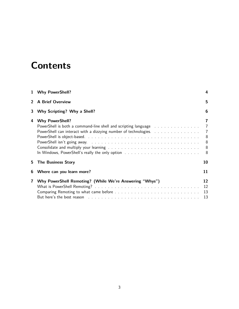# **Contents**

|    | 1 Why PowerShell?                                                                                                                                                                                                                                                                        | 4                                                         |
|----|------------------------------------------------------------------------------------------------------------------------------------------------------------------------------------------------------------------------------------------------------------------------------------------|-----------------------------------------------------------|
|    | <b>A Brief Overview</b>                                                                                                                                                                                                                                                                  | 5                                                         |
| 3  | Why Scripting? Why a Shell?                                                                                                                                                                                                                                                              | 6                                                         |
| 4  | <b>Why PowerShell?</b><br>PowerShell is both a command-line shell and scripting language business as a set of the PowerShell is both a command-line shell and scripting language business.<br>PowerShell can interact with a dizzying number of technologies.                            | 7<br>$\overline{7}$<br>$\overline{7}$<br>8<br>8<br>8<br>8 |
| 5. | <b>The Business Story</b>                                                                                                                                                                                                                                                                | 10                                                        |
| 6  | Where can you learn more?                                                                                                                                                                                                                                                                | 11                                                        |
| 7  | Why PowerShell Remoting? (While We're Answering "Whys")<br>But here's the best reason response to the contract of the contract of the set of the set of the set of the set of the set of the set of the set of the set of the set of the set of the set of the set of the set of the set | 12<br>12<br>13<br>13                                      |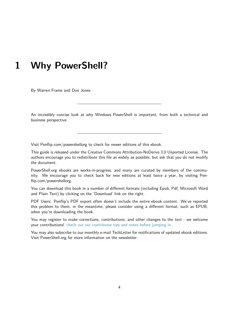<span id="page-3-0"></span>By Warren Frame and Don Jones

An incredibly concise look at why Windows PowerShell is important, from both a technical and business perspective.

Visit Penflip.com/powershellorg to check for newer editions of this ebook.

This guide is released under the Creative Commons Attribution-NoDerivs 3.0 Unported License. The authors encourage you to redistribute this file as widely as possible, but ask that you do not modify the document.

PowerShell.org ebooks are works-in-progress, and many are curated by members of the community. We encourage you to check back for new editions at least twice a year, by visiting Penflip.com/powershellorg.

You can download this book in a number of different formats (including Epub, Pdf, Microsoft Word and Plain Text) by clicking on the 'Download' link on the right.

PDF Users: Penflip's PDF export often doesn't include the entire ebook content. We've reported this problem to them; in the meantime, please consider using a different format, such as EPUB, when you're downloading the book.

You may register to make corrections, contributions, and other changes to the text - we welcome your contributions! [check out our contributor tips and notes before jumping in.](https://www.penflip.com/powershellorg/contributing-to-powershellorg-ebooks)

You may also subscribe to our monthly e-mail TechLetter for notifications of updated ebook editions. Visit PowerShell.org for more information on the newsletter.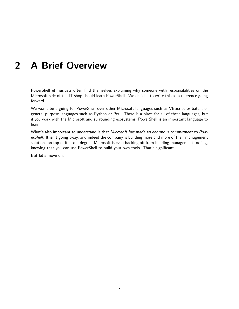## <span id="page-4-0"></span>**2 A Brief Overview**

PowerShell etnhusiasts often find themselves explaining why someone with responsibilities on the Microsoft side of the IT shop should learn PowerShell. We decided to write this as a reference going forward.

We won't be arguing for PowerShell over other Microsoft languages such as VBScript or batch, or general purpose languages such as Python or Perl. There is a place for all of these languages, but if you work with the Microsoft and surrounding ecosystems, PowerShell is an important language to learn.

What's also important to understand is that *Microsoft has made an enormous commitment to PowerShell*. It isn't going away, and indeed the company is building more and more of their management solutions on top of it. To a degree, Microsoft is even backing off from building management tooling, knowing that you can use PowerShell to build your own tools. That's significant.

But let's move on.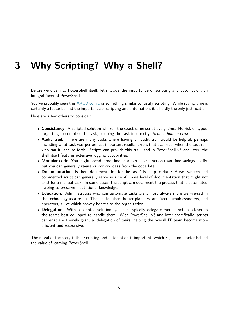### <span id="page-5-0"></span>**3 Why Scripting? Why a Shell?**

Before we dive into PowerShell itself, let's tackle the importance of scripting and automation, an integral facet of PowerShell.

You've probably seen this [XKCD comic](http://xkcd.com/1205/) or something similar to justify scripting. While saving time is certainly a factor behind the importance of scripting and automation, it is hardly the only justification.

Here are a few others to consider:

- *•* **Consistency**. A scripted solution will run the exact same script every time. No risk of typos, forgetting to complete the task, or doing the task incorrectly. *Reduce human error*.
- *•* **Audit trail**. There are many tasks where having an audit trail would be helpful, perhaps including what task was performed, important results, errors that occurred, when the task ran, who ran it, and so forth. Scripts can provide this trail, and in PowerShell v5 and later, the shell itself features extensive logging capabilities.
- *•* **Modular code**. You might spend more time on a particular function than time savings justify, but you can generally re-use or borrow ideas from the code later.
- *•* **Documentation**. Is there documentation for the task? Is it up to date? A well written and commented script can generally serve as a helpful base level of documentation that might not exist for a manual task. In some cases, the script can document the process that it automates, helping to preserve institutional knowledge.
- *•* **Education**. Administrators who can automate tasks are almost always more well-versed in the technology as a result. That makes them better planners, architects, troubleshooters, and operators, all of which convey benefit to the organization.
- *•* **Delegation**. With a scripted solution, you can typically delegate more functions closer to the teams best equipped to handle them. With PowerShell v3 and later specifically, scripts can enable extremely granular delegation of tasks, helping the overall IT team become more efficient and responsive.

The moral of the story is that scripting and automation is important, which is just one factor behind the value of learning PowerShell.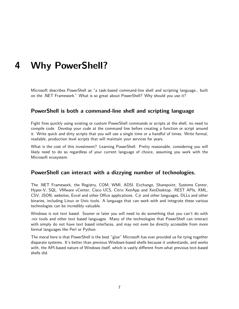<span id="page-6-0"></span>Microsoft describes PowerShell as "a task-based command-line shell and scripting language… built on the .NET Framework." What is so great about PowerShell? Why should you use it?

#### **PowerShell is both a command-line shell and scripting language**

<span id="page-6-1"></span>Fight fires quickly using existing or custom PowerShell commands or scripts at the shell, no need to compile code. Develop your code at the command line before creating a function or script around it. Write quick and dirty scripts that you will use a single time or a handful of times. Write formal, readable, production level scripts that will maintain your services for years.

What is the cost of this investment? Learning PowerShell. Pretty reasonable, considering you will likely need to do so regardless of your current language of choice, assuming you work with the Microsoft ecosystem.

#### **PowerShell can interact with a dizzying number of technologies.**

<span id="page-6-2"></span>The .NET Framework, the Registry, COM, WMI, ADSI. Exchange, Sharepoint, Systems Center, Hyper-V, SQL. VMware vCenter, Cisco UCS, Citrix XenApp and XenDesktop. REST APIs, XML, CSV, JSON, websites, Excel and other Office applications.  $C\#$  and other languages, DLLs and other binaries, including Linux or Unix tools. A language that can work with and integrate these various technologies can be incredibly valuable.

Windows is not text based. Sooner or later you will need to do something that you can't do with -nix tools and other text based languages. Many of the technologies that PowerShell can interact with simply do not have text based interfaces, and may not even be directly accessible from more formal languages like Perl or Python.

The moral here is that PowerShell is the best "glue" Microsoft has ever provided us for tying together disparate systems. It's better than previous Windows-based shells because it understands, and works with, the API-based nature of Windows itself, which is vastly different from what previous text-based shells did.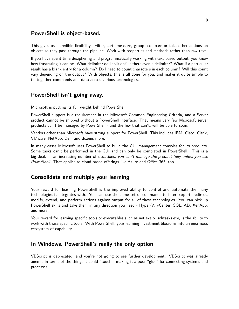#### **PowerShell is object-based.**

<span id="page-7-0"></span>This gives us incredible flexibility. Filter, sort, measure, group, compare or take other actions on objects as they pass through the pipeline. Work with properties and methods rather than raw text.

If you have spent time deciphering and programmatically working with text based output, you know how frustrating it can be. What delimiter do I split on? Is there even a delimiter? What if a particular result has a blank entry for a column? Do I need to count characters in each column? Will this count vary depending on the output? With objects, this is all done for you, and makes it quite simple to tie together commands and data across various technologies.

#### **PowerShell isn't going away.**

<span id="page-7-1"></span>Microsoft is putting its full weight behind PowerShell.

PowerShell support is a requirement in the Microsoft Common Engineering Criteria, and a Server product cannot be shipped without a PowerShell interface. That means very few Microsoft server products can't be managed by PowerShell - and the few that can't, will be able to soon.

Vendors other than Microsoft have strong support for PowerShell. This includes IBM, Cisco, Citrix, VMware, NetApp, Dell, and dozens more.

In many cases Microsoft uses PowerShell to build the GUI management consoles for its products. Some tasks can't be performed in the GUI and can only be completed in PowerShell. This is a big deal: In an increasing number of situations, *you can't manage the product fully unless you use PowerShell.* That applies to cloud-based offerings like Azure and Office 365, too.

#### **Consolidate and multiply your learning**

<span id="page-7-2"></span>Your reward for learning PowerShell is the improved ability to control and automate the many technologies it integrates with. You can use the same set of commands to filter, export, redirect, modify, extend, and perform actions against output for all of these technologies. You can pick up PowerShell skills and take them in any direction you need - Hyper-V, vCenter, SQL, AD, XenApp, and more.

Your reward for learning specific tools or executables such as net.exe or schtasks.exe, is the ability to work with those specific tools. With PowerShell, your learning investment blossoms into an enormous ecosystem of capability.

#### **In Windows, PowerShell's really the only option**

<span id="page-7-3"></span>VBScript is deprecated, and you're not going to see further development. VBScript was already anemic in terms of the things it could "touch," making it a poor "glue" for connecting systems and processes.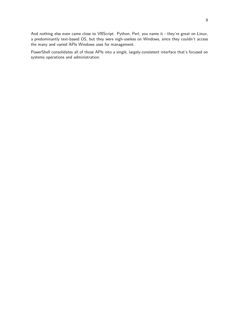And nothing else even came close to VBScript. Python, Perl, you name it - they're great on Linux, a predominantly text-based OS, but they were nigh-useless on Windows, since they couldn't access the many and varied APIs Windows uses for management.

PowerShell consolidates all of those APIs into a single, largely-consistent interface that's focused on systems operations and administration.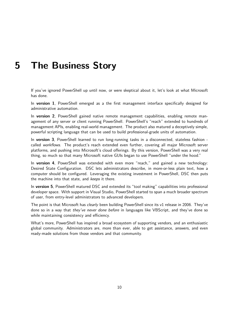## <span id="page-9-0"></span>**5 The Business Story**

If you've ignored PowerShell up until now, or were skeptical about it, let's look at what Microsoft has done.

In **version 1**, PowerShell emerged as a the first management interface specifically designed for administrative automation.

In **version 2**, PowerShell gained native remote management capabilities, enabling remote management of any server or client running PowerShell. PowerShell's "reach" extended to hundreds of management APIs, enabling real-world management. The product also matured a deceptively simple, powerful scripting language that can be used to build professional-grade units of automation.

In **version 3**, PowerShell learned to run long-running tasks in a disconnected, stateless fashion called *workflows*. The product's reach extended even further, covering all major Microsoft server platforms, and pushing into Microsoft's cloud offerings. By this version, PowerShell was a very real thing, so much so that many Microsoft native GUIs began to use PowerShell "under the hood."

In **version 4**, PowerShell was extended with even more "reach," and gained a new technology: Desired State Configuration. DSC lets administrators describe, in more-or-less plain text, how a computer should be configured. Leveraging the existing investment in PowerShell, DSC then puts the machine into that state, and *keeps* it there.

In **version 5**, PowerShell matured DSC and extended its "tool making" capabilities into professional developer space. With support in Visual Studio, PowerShell started to span a much broader spectrum of user, from entry-level administrators to advanced developers.

The point is that Microsoft has *clearly* been building PowerShell since its v1 release in 2006. They've done so in a way that *they've never done before* in languages like VBScript, and they've done so while maintaining consistency and efficiency.

What's more, PowerShell has inspired a broad ecosystem of supporting vendors, and an enthusiastic global community. Administrators are, more than ever, able to get assistance, answers, and even ready-made solutions from those vendors and that community.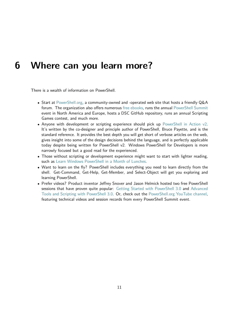### <span id="page-10-0"></span>**6 Where can you learn more?**

There is a wealth of information on PowerShell.

- *•* Start at [PowerShell.org](http://powershell.org), a community-owned and -operated web site that hosts a friendly Q&A forum. The organization also offers numerous [free ebooks](http://powershell.org/wp/ebooks), runs the annual [PowerShell Summit](http://powershellsummit.org) event in North America and Europe, hosts a DSC GitHub repository, runs an annual Scripting Games contest, and much more.
- Anyone with development or scripting experience should pick up [PowerShell in Action v2.](http://www.manning.com/payette2/) It's written by the co-designer and principle author of PowerShell, Bruce Payette, and is the standard reference. It provides the best depth you will get short of verbose articles on the web, gives insight into some of the design decisions behind the language, and is perfectly applicable today despite being written for PowerShell v2. Windows PowerShell for Developers is more narrowly focused but a good read for the experienced.
- *•* Those without scripting or development experience might want to start with lighter reading, such as [Learn Windows PowerShell in a Month of Lunches](http://manning.com/jones3/).
- *•* Want to learn on the fly? PowerShell includes everything you need to learn directly from the shell. Get-Command, Get-Help, Get-Member, and Select-Object will get you exploring and learning PowerShell.
- *•* Prefer videos? Product inventor Jeffrey Snover and Jason Helmick hosted two free PowerShell sessions that have proven quite popular: [Getting Started with PowerShell 3.0](http://channel9.msdn.com/Series/GetStartedPowerShell3) and [Advanced](http://channel9.msdn.com/Series/advpowershell3) [Tools and Scripting with PowerShell 3.0.](http://channel9.msdn.com/Series/advpowershell3) Or, check out the [PowerShell.org YouTube channel,](http://youtube.com/powershellorg) featuring technical videos and session records from every PowerShell Summit event.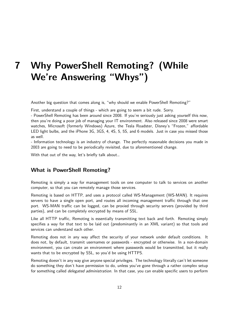# <span id="page-11-0"></span>**7 Why PowerShell Remoting? (While We're Answering "Whys")**

Another big question that comes along is, "why should we enable PowerShell Remoting?"

First, understand a couple of things - which are going to seem a bit rude. Sorry.

- PowerShell Remoting has been around since 2008. If you're seriously just asking yourself this now, then you're doing a poor job of managing your IT environment. Also released since 2008 were smart watches, Microsoft (formerly Windows) Azure, the Tesla Roadster, Disney's "Frozen," affordable LED light bulbs, and the iPhone 3G, 3GS, 4, 4S, 5, 5S, and 6 models. Just in case you missed those as well.

- Information technology is an industry of change. The perfectly reasonable decisions you made in 2003 are going to need to be periodically revisited, due to aforementioned change.

With that out of the way, let's briefly talk about…

#### **What is PowerShell Remoting?**

<span id="page-11-1"></span>Remoting is simply a way for management tools on one computer to talk to services on another computer, so that you can remotely manage those services.

Remoting is based on HTTP, and uses a protocol called WS-Management (WS-MAN). It requires servers to have a single open port, and routes all incoming management traffic through that one port. WS-MAN traffic can be logged, can be proxied through security servers (provided by third parties), and can be completely encrypted by means of SSL.

Like all HTTP traffic, Remoting is essentially transmitting text back and forth. Remoting simply specifies a way for that text to be laid out (predominantly in an XML variant) so that tools and services can understand each other.

Remoting does not in any way affect the security of your network under default conditions. It does not, by default, transmit usernames or passwords - encrypted or otherwise. In a non-domain environment, you can create an environment where passwords would be transmitted, but it really wants that to be encrypted by SSL, so you'd be using HTTPS.

Remoting doesn't in any way give anyone special privileges. The technology literally can't let someone do something they don't have permission to do, unless you've gone through a rather complex setup for something called *delegated administration*. In that case, you can enable specific users to perform